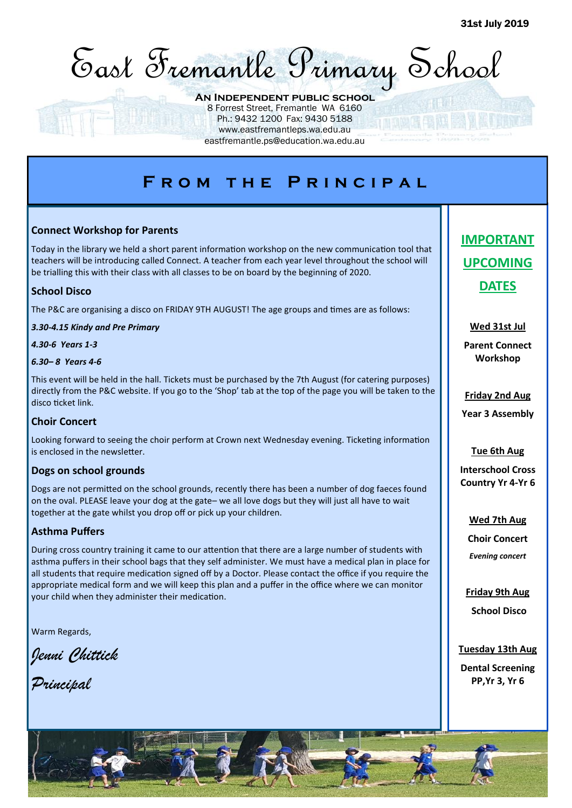

### **An Independent public school**

8 Forrest Street, Fremantle WA 6160 Ph.: 9432 1200 Fax: 9430 5188 www.eastfremantleps.wa.edu.au

eastfremantle.ps@education.wa.edu.au

# **F r o m t h e P r i n c i p a l**

## **Connect Workshop for Parents**

Today in the library we held a short parent information workshop on the new communication tool that teachers will be introducing called Connect. A teacher from each year level throughout the school will be trialling this with their class with all classes to be on board by the beginning of 2020.

## **School Disco**

The P&C are organising a disco on FRIDAY 9TH AUGUST! The age groups and times are as follows:

*3.30-4.15 Kindy and Pre Primary*

*4.30-6 Years 1-3*

#### *6.30– 8 Years 4-6*

This event will be held in the hall. Tickets must be purchased by the 7th August (for catering purposes) directly from the P&C website. If you go to the 'Shop' tab at the top of the page you will be taken to the disco ticket link.

#### **Choir Concert**

Looking forward to seeing the choir perform at Crown next Wednesday evening. Ticketing information is enclosed in the newsletter.

## **Dogs on school grounds**

Dogs are not permitted on the school grounds, recently there has been a number of dog faeces found on the oval. PLEASE leave your dog at the gate– we all love dogs but they will just all have to wait together at the gate whilst you drop off or pick up your children.

## **Asthma Puffers**

During cross country training it came to our attention that there are a large number of students with asthma puffers in their school bags that they self administer. We must have a medical plan in place for all students that require medication signed off by a Doctor. Please contact the office if you require the appropriate medical form and we will keep this plan and a puffer in the office where we can monitor your child when they administer their medication.

Warm Regards,

*Jenni Chittick*

*Principal*

# **IMPORTANT UPCOMING DATES**

**Wed 31st Jul**

**Parent Connect Workshop**

**Friday 2nd Aug Year 3 Assembly**

#### **Tue 6th Aug**

**Interschool Cross Country Yr 4-Yr 6**

> **Wed 7th Aug Choir Concert** *Evening concert*

**Friday 9th Aug School Disco**

**Tuesday 13th Aug Dental Screening PP,Yr 3, Yr 6**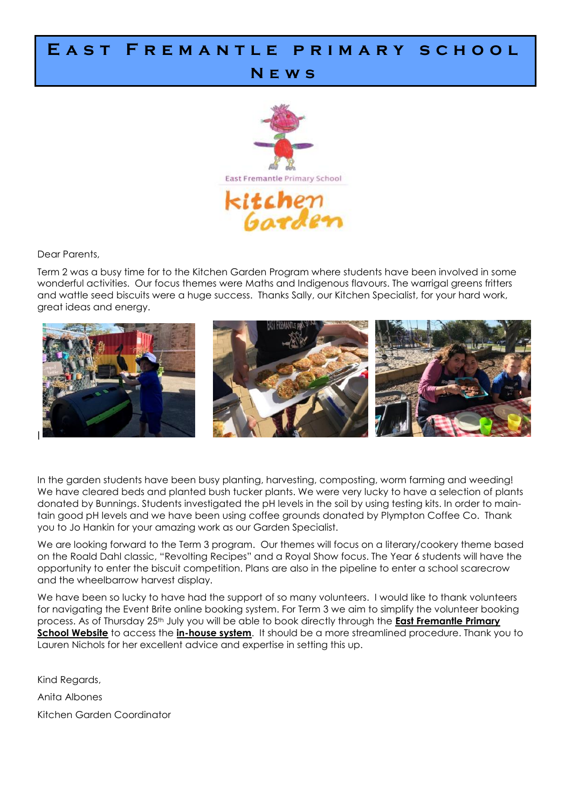## EAST FREMANTLE PRIMARY SCHOOL

## **N e w s**



Dear Parents,

Term 2 was a busy time for to the Kitchen Garden Program where students have been involved in some wonderful activities. Our focus themes were Maths and Indigenous flavours. The warrigal greens fritters and wattle seed biscuits were a huge success. Thanks Sally, our Kitchen Specialist, for your hard work, great ideas and energy.



In the garden students have been busy planting, harvesting, composting, worm farming and weeding! We have cleared beds and planted bush tucker plants. We were very lucky to have a selection of plants donated by Bunnings. Students investigated the pH levels in the soil by using testing kits. In order to maintain good pH levels and we have been using coffee grounds donated by Plympton Coffee Co. Thank you to Jo Hankin for your amazing work as our Garden Specialist.

We are looking forward to the Term 3 program. Our themes will focus on a literary/cookery theme based on the Roald Dahl classic, "Revolting Recipes" and a Royal Show focus. The Year 6 students will have the opportunity to enter the biscuit competition. Plans are also in the pipeline to enter a school scarecrow and the wheelbarrow harvest display.

We have been so lucky to have had the support of so many volunteers. I would like to thank volunteers for navigating the Event Brite online booking system. For Term 3 we aim to simplify the volunteer booking process. As of Thursday 25th July you will be able to book directly through the **East Fremantle Primary School Website** to access the **in-house system**. It should be a more streamlined procedure. Thank you to Lauren Nichols for her excellent advice and expertise in setting this up.

Kind Regards, Anita Albones Kitchen Garden Coordinator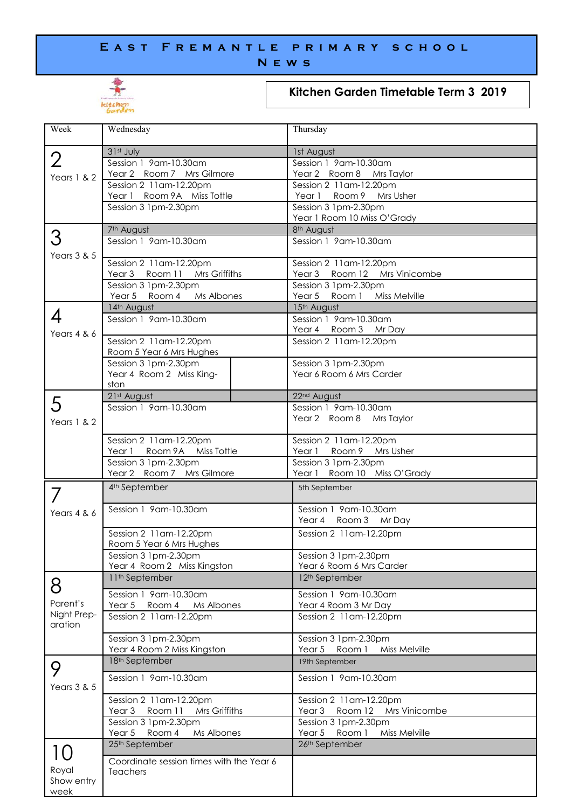## E A S T F R E M A N T L E P R I M A R Y S C H O O L **N e w s**



## **Kitchen Garden Timetable Term 3 2019**

| Week           | Wednesday                                                                | Thursday                                                  |
|----------------|--------------------------------------------------------------------------|-----------------------------------------------------------|
|                | 31st July                                                                | 1st August                                                |
| $\overline{2}$ | Session 1 9am-10.30am                                                    | Session 1 9am-10.30am                                     |
| Years $1 & 2$  | Year 2 Room 7 Mrs Gilmore<br>Session 2 11 am-12.20pm                     | Year 2 Room 8 Mrs Taylor<br>Session 2 11 am-12.20pm       |
|                | Year 1 Room 9A Miss Tottle                                               | Year 1 Room 9 Mrs Usher                                   |
|                | Session 3 1pm-2.30pm                                                     | Session 3 1pm-2.30pm                                      |
|                |                                                                          | Year 1 Room 10 Miss O'Grady                               |
| З              | 7 <sup>th</sup> August<br>Session 1 9am-10.30am                          | 8 <sup>th</sup> August<br>Session 1 9am-10.30am           |
| Years $3 & 5$  |                                                                          |                                                           |
|                | Session 2 11 am-12.20pm<br>Room 11<br>Mrs Griffiths<br>Year <sub>3</sub> | Session 2 11am-12.20pm<br>Room 12 Mrs Vinicombe<br>Year 3 |
|                | Session 3 1pm-2.30pm                                                     | Session 3 1pm-2.30pm                                      |
|                | Year 5 Room 4<br>Ms Albones                                              | Year 5 Room 1<br>Miss Melville                            |
| 4              | 14th August<br>Session 1 9am-10.30am                                     | 15th August<br>Session 1 9am-10.30am                      |
| Years 4 & 6    |                                                                          | Year 4 Room 3 Mr Day                                      |
|                | Session 2 11 am-12.20pm                                                  | Session 2 11 am-12.20pm                                   |
|                | Room 5 Year 6 Mrs Hughes                                                 |                                                           |
|                | Session 3 1pm-2.30pm                                                     | Session 3 1pm-2.30pm<br>Year 6 Room 6 Mrs Carder          |
|                | Year 4 Room 2 Miss King-<br>ston                                         |                                                           |
|                | 21st August                                                              | 22 <sup>nd</sup> August                                   |
| 5              | Session 1 9am-10.30am                                                    | Session 1 9am-10.30am                                     |
| Years 1 & 2    |                                                                          | Year 2 Room 8 Mrs Taylor                                  |
|                | Session 2 11 am-12.20pm                                                  | Session 2 11 am-12.20pm                                   |
|                | Room 9A Miss Tottle<br>Year 1                                            | Room 9<br>Year 1<br>Mrs Usher                             |
|                | Session 3 1pm-2.30pm                                                     | Session 3 1pm-2.30pm                                      |
|                | Year 2 Room 7 Mrs Gilmore                                                | Year 1 Room 10 Miss O'Grady                               |
|                | 4 <sup>th</sup> September                                                | 5th September                                             |
| Years 4 & 6    | Session 1 9am-10.30am                                                    | Session 1 9am-10.30am<br>Year 4 Room 3 Mr Day             |
|                | Session 2 11am-12.20pm                                                   | Session 2 11 am-12.20pm                                   |
|                | Room 5 Year 6 Mrs Hughes                                                 |                                                           |
|                | Session 3 1pm-2.30pm                                                     | Session 3 1pm-2.30pm                                      |
|                | Year 4 Room 2 Miss Kingston<br>11 <sup>th</sup> September                | Year 6 Room 6 Mrs Carder<br>12 <sup>th</sup> September    |
| 8              |                                                                          |                                                           |
| Parent's       | Session 1 9am-10.30am<br>Year 5<br>Room 4<br>Ms Albones                  | Session 1 9am-10.30am<br>Year 4 Room 3 Mr Day             |
| Night Prep-    | Session 2 11am-12.20pm                                                   | Session 2 11 am-12.20pm                                   |
| aration        |                                                                          |                                                           |
|                | Session 3 1pm-2.30pm<br>Year 4 Room 2 Miss Kingston                      | Session 3 1pm-2.30pm<br>Year 5<br>Room 1<br>Miss Melville |
|                | 18 <sup>th</sup> September                                               | 19th September                                            |
| 9              | Session 1 9am-10.30am                                                    | Session 1 9am-10.30am                                     |
| Years 3 & 5    |                                                                          |                                                           |
|                | Session 2 11am-12.20pm                                                   | Session 2 11 am-12.20pm                                   |
|                | Room 11<br>Mrs Griffiths<br>Year <sub>3</sub>                            | Year <sub>3</sub><br>Room 12<br>Mrs Vinicombe             |
|                | Session 3 1pm-2.30pm<br>Ms Albones<br>Year 5<br>Room 4                   | Session 3 1pm-2.30pm<br>Year 5<br>Room 1<br>Miss Melville |
|                | 25 <sup>th</sup> September                                               | 26th September                                            |
| $\mathcal{L}$  | Coordinate session times with the Year 6                                 |                                                           |
| Royal          | Teachers                                                                 |                                                           |
| Show entry     |                                                                          |                                                           |
| week           |                                                                          |                                                           |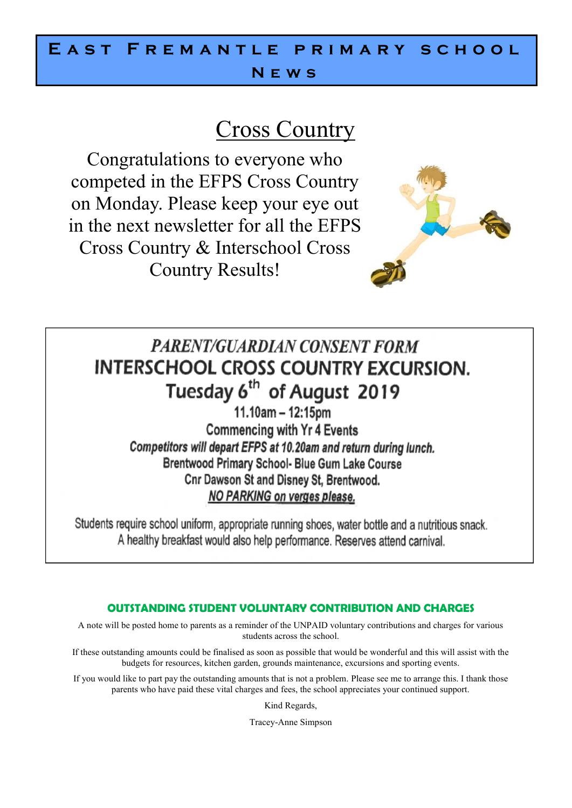# E A S T F R E M A N T L E P R I M A R Y S C H O O L **N e w s**

# Cross Country

Congratulations to everyone who competed in the EFPS Cross Country on Monday. Please keep your eye out in the next newsletter for all the EFPS Cross Country & Interschool Cross Country Results!



# **PARENT/GUARDIAN CONSENT FORM INTERSCHOOL CROSS COUNTRY EXCURSION.** Tuesday 6<sup>th</sup> of August 2019

 $11.10am - 12:15pm$ **Commencing with Yr 4 Events** Competitors will depart EFPS at 10.20am and return during lunch. Brentwood Primary School- Blue Gum Lake Course Cnr Dawson St and Disney St, Brentwood. NO PARKING on verges please.

Students require school uniform, appropriate running shoes, water bottle and a nutritious snack. A healthy breakfast would also help performance. Reserves attend carnival.

## **OUTSTANDING STUDENT VOLUNTARY CONTRIBUTION AND CHARGES**

A note will be posted home to parents as a reminder of the UNPAID voluntary contributions and charges for various students across the school.

If these outstanding amounts could be finalised as soon as possible that would be wonderful and this will assist with the budgets for resources, kitchen garden, grounds maintenance, excursions and sporting events.

If you would like to part pay the outstanding amounts that is not a problem. Please see me to arrange this. I thank those parents who have paid these vital charges and fees, the school appreciates your continued support.

Kind Regards,

Tracey-Anne Simpson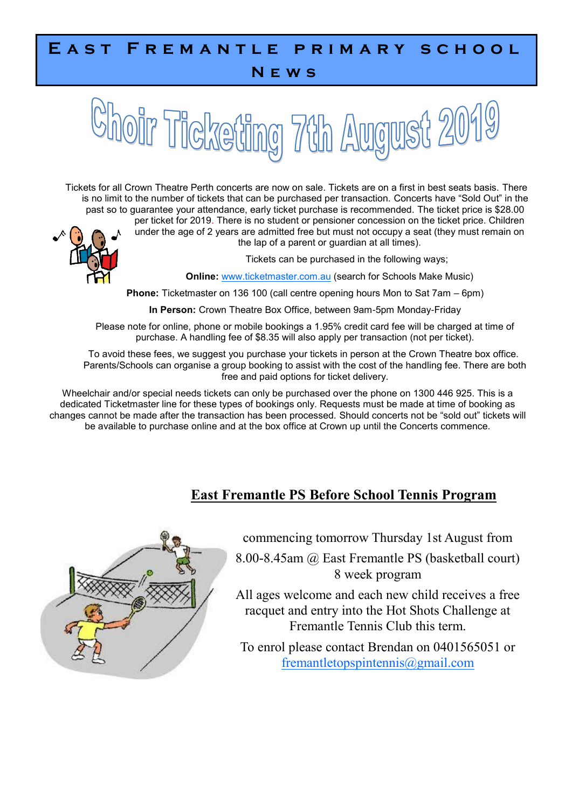# E A S T F R E M A N T L E P R I M A R Y S C H O O L

## **N e w s**

# oir Ticketing 7th August 2019

Tickets for all Crown Theatre Perth concerts are now on sale. Tickets are on a first in best seats basis. There is no limit to the number of tickets that can be purchased per transaction. Concerts have "Sold Out" in the past so to guarantee your attendance, early ticket purchase is recommended. The ticket price is \$28.00



per ticket for 2019. There is no student or pensioner concession on the ticket price. Children under the age of 2 years are admitted free but must not occupy a seat (they must remain on the lap of a parent or guardian at all times).

Tickets can be purchased in the following ways;

**Online:** [www.ticketmaster.com.au](https://aus01.safelinks.protection.outlook.com/?url=http%3A%2F%2Fwww.ticketmaster.com.au&data=02%7C01%7Cjoanna.bowden%40education.wa.edu.au%7C9b082d702b3847e3bf1308d6f397faee%7Ce08016f9d1fd4cbb83b0b76eb4361627%7C0%7C0%7C636964231399759181&sdata=NP1nYJCFSOas%2) (search for Schools Make Music)

**Phone:** Ticketmaster on 136 100 (call centre opening hours Mon to Sat 7am – 6pm)

**In Person:** Crown Theatre Box Office, between 9am-5pm Monday-Friday

Please note for online, phone or mobile bookings a 1.95% credit card fee will be charged at time of purchase. A handling fee of \$8.35 will also apply per transaction (not per ticket).

To avoid these fees, we suggest you purchase your tickets in person at the Crown Theatre box office. Parents/Schools can organise a group booking to assist with the cost of the handling fee. There are both free and paid options for ticket delivery.

Wheelchair and/or special needs tickets can only be purchased over the phone on 1300 446 925. This is a dedicated Ticketmaster line for these types of bookings only. Requests must be made at time of booking as changes cannot be made after the transaction has been processed. Should concerts not be "sold out" tickets will be available to purchase online and at the box office at Crown up until the Concerts commence.

## **East Fremantle PS Before School Tennis Program**



commencing tomorrow Thursday 1st August from

8.00-8.45am @ East Fremantle PS (basketball court) 8 week program

All ages welcome and each new child receives a free racquet and entry into the Hot Shots Challenge at Fremantle Tennis Club this term.

To enrol please contact Brendan on 0401565051 or [fremantletopspintennis@gmail.com](mailto:fremantletopspintennis@gmail.com)